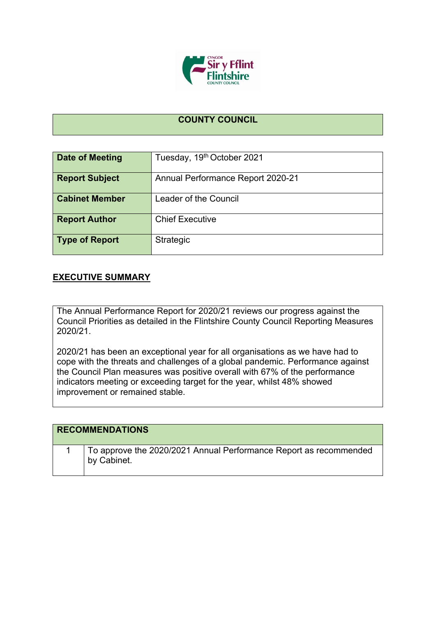

## **COUNTY COUNCIL**

| Date of Meeting       | Tuesday, 19th October 2021               |
|-----------------------|------------------------------------------|
| <b>Report Subject</b> | <b>Annual Performance Report 2020-21</b> |
| <b>Cabinet Member</b> | Leader of the Council                    |
| <b>Report Author</b>  | <b>Chief Executive</b>                   |
| <b>Type of Report</b> | Strategic                                |

## **EXECUTIVE SUMMARY**

The Annual Performance Report for 2020/21 reviews our progress against the Council Priorities as detailed in the Flintshire County Council Reporting Measures 2020/21.

2020/21 has been an exceptional year for all organisations as we have had to cope with the threats and challenges of a global pandemic. Performance against the Council Plan measures was positive overall with 67% of the performance indicators meeting or exceeding target for the year, whilst 48% showed improvement or remained stable.

| <b>RECOMMENDATIONS</b>                                                           |
|----------------------------------------------------------------------------------|
| To approve the 2020/2021 Annual Performance Report as recommended<br>by Cabinet. |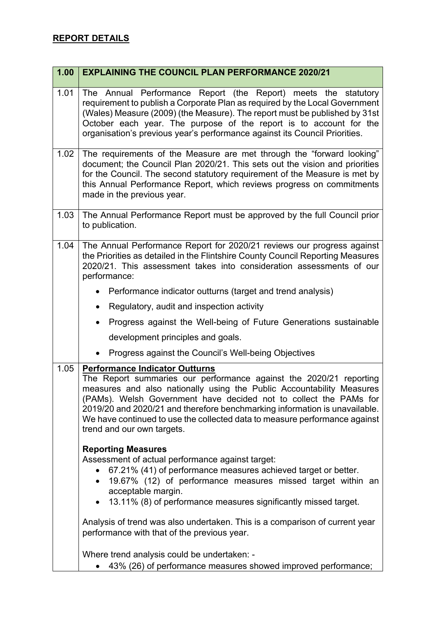| 1.00 | <b>EXPLAINING THE COUNCIL PLAN PERFORMANCE 2020/21</b>                                                                                                                                                                                                                                                                                                                                                                                              |
|------|-----------------------------------------------------------------------------------------------------------------------------------------------------------------------------------------------------------------------------------------------------------------------------------------------------------------------------------------------------------------------------------------------------------------------------------------------------|
| 1.01 | The Annual Performance Report (the Report) meets the statutory<br>requirement to publish a Corporate Plan as required by the Local Government<br>(Wales) Measure (2009) (the Measure). The report must be published by 31st<br>October each year. The purpose of the report is to account for the<br>organisation's previous year's performance against its Council Priorities.                                                                     |
| 1.02 | The requirements of the Measure are met through the "forward looking"<br>document; the Council Plan 2020/21. This sets out the vision and priorities<br>for the Council. The second statutory requirement of the Measure is met by<br>this Annual Performance Report, which reviews progress on commitments<br>made in the previous year.                                                                                                           |
| 1.03 | The Annual Performance Report must be approved by the full Council prior<br>to publication.                                                                                                                                                                                                                                                                                                                                                         |
| 1.04 | The Annual Performance Report for 2020/21 reviews our progress against<br>the Priorities as detailed in the Flintshire County Council Reporting Measures<br>2020/21. This assessment takes into consideration assessments of our<br>performance:                                                                                                                                                                                                    |
|      | • Performance indicator outturns (target and trend analysis)                                                                                                                                                                                                                                                                                                                                                                                        |
|      | Regulatory, audit and inspection activity<br>$\bullet$                                                                                                                                                                                                                                                                                                                                                                                              |
|      | Progress against the Well-being of Future Generations sustainable<br>$\bullet$                                                                                                                                                                                                                                                                                                                                                                      |
|      | development principles and goals.                                                                                                                                                                                                                                                                                                                                                                                                                   |
|      | Progress against the Council's Well-being Objectives                                                                                                                                                                                                                                                                                                                                                                                                |
| 1.05 | <b>Performance Indicator Outturns</b><br>The Report summaries our performance against the 2020/21 reporting<br>measures and also nationally using the Public Accountability Measures<br>(PAMs). Welsh Government have decided not to collect the PAMs for<br>2019/20 and 2020/21 and therefore benchmarking information is unavailable.<br>We have continued to use the collected data to measure performance against<br>trend and our own targets. |
|      | <b>Reporting Measures</b><br>Assessment of actual performance against target:<br>67.21% (41) of performance measures achieved target or better.<br>19.67% (12) of performance measures missed target within an<br>acceptable margin.<br>13.11% (8) of performance measures significantly missed target.<br>$\bullet$<br>Analysis of trend was also undertaken. This is a comparison of current year<br>performance with that of the previous year.  |
|      | Where trend analysis could be undertaken: -<br>43% (26) of performance measures showed improved performance;                                                                                                                                                                                                                                                                                                                                        |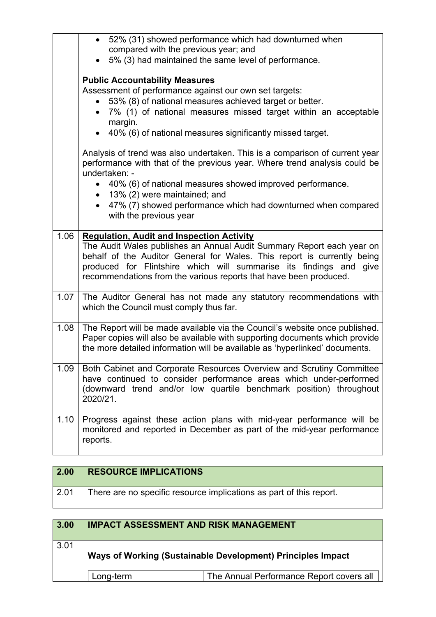|      | 52% (31) showed performance which had downturned when<br>$\bullet$<br>compared with the previous year; and                                                                                                                                                                                                                                                                                                                                                                                                                                                                                                                                                       |
|------|------------------------------------------------------------------------------------------------------------------------------------------------------------------------------------------------------------------------------------------------------------------------------------------------------------------------------------------------------------------------------------------------------------------------------------------------------------------------------------------------------------------------------------------------------------------------------------------------------------------------------------------------------------------|
|      | 5% (3) had maintained the same level of performance.                                                                                                                                                                                                                                                                                                                                                                                                                                                                                                                                                                                                             |
|      | <b>Public Accountability Measures</b><br>Assessment of performance against our own set targets:<br>• 53% (8) of national measures achieved target or better.<br>7% (1) of national measures missed target within an acceptable<br>margin.<br>40% (6) of national measures significantly missed target.<br>Analysis of trend was also undertaken. This is a comparison of current year<br>performance with that of the previous year. Where trend analysis could be<br>undertaken: -<br>40% (6) of national measures showed improved performance.<br>$\bullet$<br>13% (2) were maintained; and<br>• 47% (7) showed performance which had downturned when compared |
|      | with the previous year                                                                                                                                                                                                                                                                                                                                                                                                                                                                                                                                                                                                                                           |
| 1.06 | <b>Regulation, Audit and Inspection Activity</b><br>The Audit Wales publishes an Annual Audit Summary Report each year on<br>behalf of the Auditor General for Wales. This report is currently being<br>produced for Flintshire which will summarise its findings and give<br>recommendations from the various reports that have been produced.                                                                                                                                                                                                                                                                                                                  |
| 1.07 | The Auditor General has not made any statutory recommendations with<br>which the Council must comply thus far.                                                                                                                                                                                                                                                                                                                                                                                                                                                                                                                                                   |
| 1.08 | The Report will be made available via the Council's website once published.<br>Paper copies will also be available with supporting documents which provide<br>the more detailed information will be available as 'hyperlinked' documents.                                                                                                                                                                                                                                                                                                                                                                                                                        |
| 1.09 | Both Cabinet and Corporate Resources Overview and Scrutiny Committee<br>have continued to consider performance areas which under-performed<br>(downward trend and/or low quartile benchmark position) throughout<br>2020/21.                                                                                                                                                                                                                                                                                                                                                                                                                                     |
| 1.10 | Progress against these action plans with mid-year performance will be<br>monitored and reported in December as part of the mid-year performance<br>reports.                                                                                                                                                                                                                                                                                                                                                                                                                                                                                                      |

| $\vert$ 2.00 | <b>RESOURCE IMPLICATIONS</b>                                        |
|--------------|---------------------------------------------------------------------|
| $\vert$ 2.01 | There are no specific resource implications as part of this report. |

| 3.00 | <b>IMPACT ASSESSMENT AND RISK MANAGEMENT</b> |                                                             |
|------|----------------------------------------------|-------------------------------------------------------------|
| 3.01 |                                              | Ways of Working (Sustainable Development) Principles Impact |
|      | Long-term                                    | The Annual Performance Report covers all                    |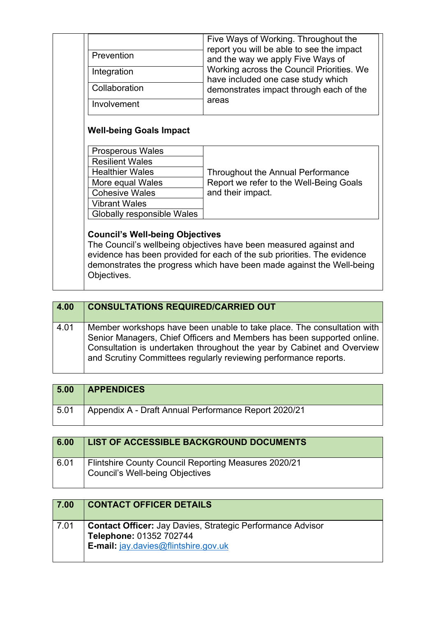| Prevention              | Five Ways of Working. Throughout the<br>report you will be able to see the impact<br>and the way we apply Five Ways of |
|-------------------------|------------------------------------------------------------------------------------------------------------------------|
| Integration             | Working across the Council Priorities. We<br>have included one case study which                                        |
| Collaboration           | demonstrates impact through each of the                                                                                |
| Involvement             | areas                                                                                                                  |
| <b>Resilient Wales</b>  |                                                                                                                        |
| <b>Prosperous Wales</b> |                                                                                                                        |
| <b>Healthier Wales</b>  | <b>Throughout the Annual Performance</b>                                                                               |
| More equal Wales        | Report we refer to the Well-Being Goals                                                                                |
| <b>Cohesive Wales</b>   | and their impact.                                                                                                      |
|                         |                                                                                                                        |
| <b>Vibrant Wales</b>    |                                                                                                                        |
|                         |                                                                                                                        |

| 4.00 | <b>CONSULTATIONS REQUIRED/CARRIED OUT</b>                                                                                                                                                                                                                                                      |
|------|------------------------------------------------------------------------------------------------------------------------------------------------------------------------------------------------------------------------------------------------------------------------------------------------|
| 4.01 | Member workshops have been unable to take place. The consultation with<br>Senior Managers, Chief Officers and Members has been supported online.<br>Consultation is undertaken throughout the year by Cabinet and Overview<br>and Scrutiny Committees regularly reviewing performance reports. |

Objectives.

| 5.00            | <b>APPENDICES</b>                                    |
|-----------------|------------------------------------------------------|
| $^{\circ}$ 5.01 | Appendix A - Draft Annual Performance Report 2020/21 |

| 6.00 | LIST OF ACCESSIBLE BACKGROUND DOCUMENTS                                                 |
|------|-----------------------------------------------------------------------------------------|
| 6.01 | Flintshire County Council Reporting Measures 2020/21<br>Council's Well-being Objectives |

| 7.00 | <b>CONTACT OFFICER DETAILS</b>                                                                                                                |
|------|-----------------------------------------------------------------------------------------------------------------------------------------------|
| 7.01 | <b>Contact Officer:</b> Jay Davies, Strategic Performance Advisor<br>Telephone: 01352 702744<br><b>E-mail:</b> $jay.davies@flintshire.gov.uk$ |